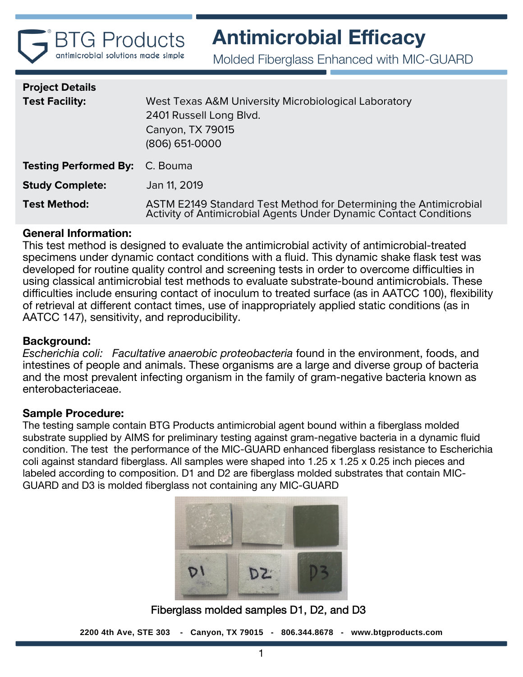

Molded Fiberglass Enhanced with MIC-GUARD

| <b>Project Details</b>                |                                                                                                                                        |
|---------------------------------------|----------------------------------------------------------------------------------------------------------------------------------------|
| <b>Test Facility:</b>                 | West Texas A&M University Microbiological Laboratory<br>2401 Russell Long Blvd.<br>Canyon, TX 79015<br>(806) 651-0000                  |
| <b>Testing Performed By:</b> C. Bouma |                                                                                                                                        |
| <b>Study Complete:</b>                | Jan 11, 2019                                                                                                                           |
| <b>Test Method:</b>                   | ASTM E2149 Standard Test Method for Determining the Antimicrobial<br>Activity of Antimicrobial Agents Under Dynamic Contact Conditions |

# **General Information:**

This test method is designed to evaluate the antimicrobial activity of antimicrobial-treated specimens under dynamic contact conditions with a fluid. This dynamic shake flask test was developed for routine quality control and screening tests in order to overcome difficulties in using classical antimicrobial test methods to evaluate substrate-bound antimicrobials. These difficulties include ensuring contact of inoculum to treated surface (as in AATCC 100), flexibility of retrieval at different contact times, use of inappropriately applied static conditions (as in AATCC 147), sensitivity, and reproducibility.

# **Background:**

*Escherichia coli: Facultative anaerobic proteobacteria* found in the environment, foods, and intestines of people and animals. These organisms are a large and diverse group of bacteria and the most prevalent infecting organism in the family of gram-negative bacteria known as enterobacteriaceae.

# **Sample Procedure:**

The testing sample contain BTG Products antimicrobial agent bound within a fiberglass molded substrate supplied by AIMS for preliminary testing against gram-negative bacteria in a dynamic fluid condition. The test the performance of the MIC-GUARD enhanced fiberglass resistance to Escherichia coli against standard fiberglass. All samples were shaped into 1.25 x 1.25 x 0.25 inch pieces and labeled according to composition. D1 and D2 are fiberglass molded substrates that contain MIC-GUARD and D3 is molded fiberglass not containing any MIC-GUARD



Fiberglass molded samples D1, D2, and D3

**2200 4th Ave, STE 303 - Canyon, TX 79015 - 806.344.8678 - www.btgproducts.com**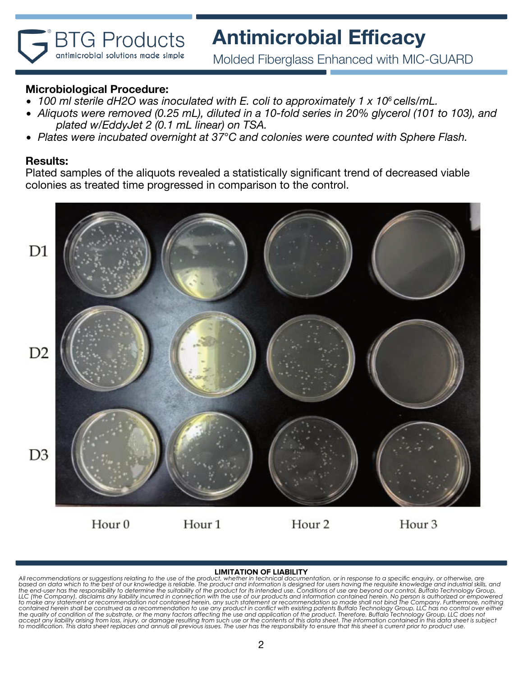Molded Fiberglass Enhanced with MIC-GUARD

# **Microbiological Procedure:**

**BTG Products** antimicrobial solutions made simple

- *100 ml sterile dH2O was inoculated with E. coli to approximately 1 x 10<sup>6</sup> cells/mL.*
- *Aliquots were removed (0.25 mL), diluted in a 10-fold series in 20% glycerol (101 to 103), and plated w/EddyJet 2 (0.1 mL linear) on TSA.*
- *Plates were incubated overnight at 37*°*C and colonies were counted with Sphere Flash.*

### **Results:**

Plated samples of the aliquots revealed a statistically significant trend of decreased viable colonies as treated time progressed in comparison to the control.



#### **LIMITATION OF LIABILITY**

All recommendations or suggestions relating to the use of the product, whether in technical documentation, or in response to a specific enquiry, or otherwise, are<br>based on data which to the best of our knowledge is reliabl contained herein shall be construed as a recommendation to use any product in conflict with existing patents Buffalo Technology Group, LLC has no control over either<br>the quality of condition of the substrate, or the many f